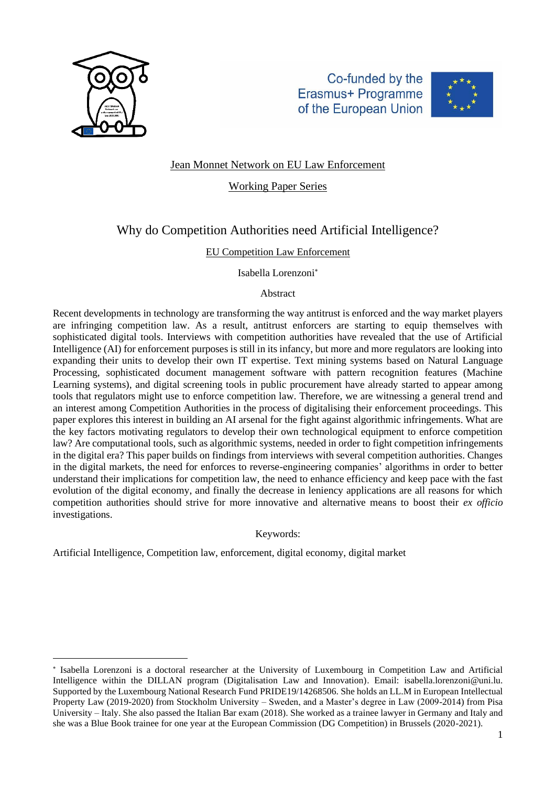

Co-funded by the Erasmus+ Programme of the European Union



# Jean Monnet Network on EU Law Enforcement

Working Paper Series

# Why do Competition Authorities need Artificial Intelligence?

### EU Competition Law Enforcement

Isabella Lorenzoni

### Abstract

Recent developments in technology are transforming the way antitrust is enforced and the way market players are infringing competition law. As a result, antitrust enforcers are starting to equip themselves with sophisticated digital tools. Interviews with competition authorities have revealed that the use of Artificial Intelligence (AI) for enforcement purposes is still in its infancy, but more and more regulators are looking into expanding their units to develop their own IT expertise. Text mining systems based on Natural Language Processing, sophisticated document management software with pattern recognition features (Machine Learning systems), and digital screening tools in public procurement have already started to appear among tools that regulators might use to enforce competition law. Therefore, we are witnessing a general trend and an interest among Competition Authorities in the process of digitalising their enforcement proceedings. This paper explores this interest in building an AI arsenal for the fight against algorithmic infringements. What are the key factors motivating regulators to develop their own technological equipment to enforce competition law? Are computational tools, such as algorithmic systems, needed in order to fight competition infringements in the digital era? This paper builds on findings from interviews with several competition authorities. Changes in the digital markets, the need for enforces to reverse-engineering companies' algorithms in order to better understand their implications for competition law, the need to enhance efficiency and keep pace with the fast evolution of the digital economy, and finally the decrease in leniency applications are all reasons for which competition authorities should strive for more innovative and alternative means to boost their *ex officio* investigations.

### Keywords:

Artificial Intelligence, Competition law, enforcement, digital economy, digital market

<sup>\*</sup> Isabella Lorenzoni is a doctoral researcher at the University of Luxembourg in Competition Law and Artificial Intelligence within the DILLAN program (Digitalisation Law and Innovation). Email: [isabella.lorenzoni@uni.lu.](mailto:isabella.lorenzoni@uni.lu) Supported by the Luxembourg National Research Fund PRIDE19/14268506. She holds an LL.M in European Intellectual Property Law (2019-2020) from Stockholm University – Sweden, and a Master's degree in Law (2009-2014) from Pisa University – Italy. She also passed the Italian Bar exam (2018). She worked as a trainee lawyer in Germany and Italy and she was a Blue Book trainee for one year at the European Commission (DG Competition) in Brussels (2020-2021).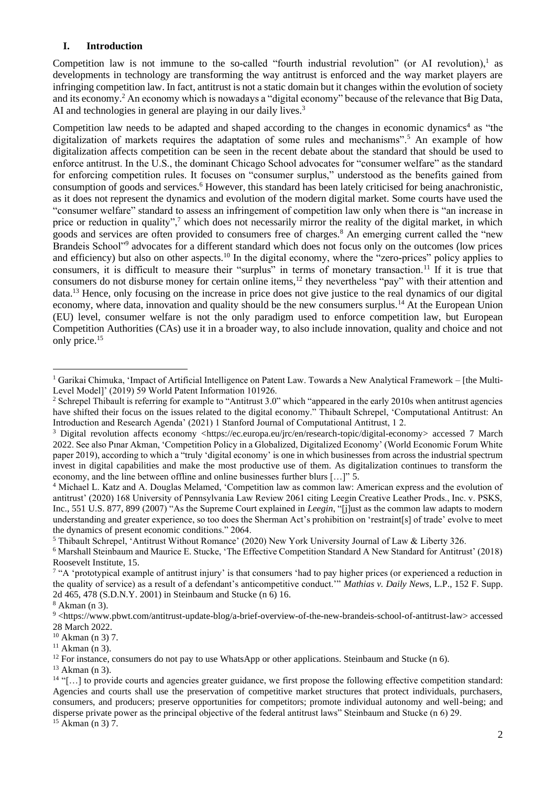### **I. Introduction**

Competition law is not immune to the so-called "fourth industrial revolution" (or AI revolution),<sup>1</sup> as developments in technology are transforming the way antitrust is enforced and the way market players are infringing competition law. In fact, antitrust is not a static domain but it changes within the evolution of society and its economy.<sup>2</sup> An economy which is nowadays a "digital economy" because of the relevance that Big Data, AI and technologies in general are playing in our daily lives.<sup>3</sup>

Competition law needs to be adapted and shaped according to the changes in economic dynamics<sup>4</sup> as "the digitalization of markets requires the adaptation of some rules and mechanisms".<sup>5</sup> An example of how digitalization affects competition can be seen in the recent debate about the standard that should be used to enforce antitrust. In the U.S., the dominant Chicago School advocates for "consumer welfare" as the standard for enforcing competition rules. It focuses on "consumer surplus," understood as the benefits gained from consumption of goods and services.<sup>6</sup> However, this standard has been lately criticised for being anachronistic, as it does not represent the dynamics and evolution of the modern digital market. Some courts have used the "consumer welfare" standard to assess an infringement of competition law only when there is "an increase in price or reduction in quality",<sup>7</sup> which does not necessarily mirror the reality of the digital market, in which goods and services are often provided to consumers free of charges.<sup>8</sup> An emerging current called the "new Brandeis School"<sup>9</sup> advocates for a different standard which does not focus only on the outcomes (low prices and efficiency) but also on other aspects.<sup>10</sup> In the digital economy, where the "zero-prices" policy applies to consumers, it is difficult to measure their "surplus" in terms of monetary transaction.<sup>11</sup> If it is true that consumers do not disburse money for certain online items,<sup>12</sup> they nevertheless "pay" with their attention and data.<sup>13</sup> Hence, only focusing on the increase in price does not give justice to the real dynamics of our digital economy, where data, innovation and quality should be the new consumers surplus.<sup>14</sup> At the European Union (EU) level, consumer welfare is not the only paradigm used to enforce competition law, but European Competition Authorities (CAs) use it in a broader way, to also include innovation, quality and choice and not only price.<sup>15</sup>

 $15$  Akman (n 3) 7.

<sup>&</sup>lt;sup>1</sup> Garikai Chimuka, 'Impact of Artificial Intelligence on Patent Law. Towards a New Analytical Framework – [the Multi-Level Model]' (2019) 59 World Patent Information 101926.

<sup>&</sup>lt;sup>2</sup> Schrepel Thibault is referring for example to "Antitrust 3.0" which "appeared in the early 2010s when antitrust agencies have shifted their focus on the issues related to the digital economy." Thibault Schrepel, 'Computational Antitrust: An Introduction and Research Agenda' (2021) 1 Stanford Journal of Computational Antitrust, 1 2.

<sup>&</sup>lt;sup>3</sup> Digital revolution affects economy [<https://ec.europa.eu/jrc/en/research-topic/digital-economy>](https://ec.europa.eu/jrc/en/research-topic/digital-economy) accessed 7 March 2022. See also Pınar Akman, 'Competition Policy in a Globalized, Digitalized Economy' (World Economic Forum White paper 2019), according to which a "truly 'digital economy' is one in which businesses from across the industrial spectrum invest in digital capabilities and make the most productive use of them. As digitalization continues to transform the economy, and the line between offline and online businesses further blurs […]" 5.

<sup>4</sup> Michael L. Katz and A. Douglas Melamed, 'Competition law as common law: American express and the evolution of antitrust' (2020) 168 University of Pennsylvania Law Review 2061 citing Leegin Creative Leather Prods., Inc. v. PSKS, Inc., 551 U.S. 877, 899 (2007) "As the Supreme Court explained in *Leegin*, "[j]ust as the common law adapts to modern understanding and greater experience, so too does the Sherman Act's prohibition on 'restraint[s] of trade' evolve to meet the dynamics of present economic conditions." 2064.

<sup>5</sup> Thibault Schrepel, 'Antitrust Without Romance' (2020) New York University Journal of Law & Liberty 326.

<sup>6</sup> Marshall Steinbaum and Maurice E. Stucke, 'The Effective Competition Standard A New Standard for Antitrust' (2018) Roosevelt Institute, 15.

<sup>&</sup>lt;sup>7</sup> "A 'prototypical example of antitrust injury' is that consumers 'had to pay higher prices (or experienced a reduction in the quality of service) as a result of a defendant's anticompetitive conduct.'" *Mathias v. Daily News*, L.P., 152 F. Supp. 2d 465, 478 (S.D.N.Y. 2001) in Steinbaum and Stucke (n 6) 16.

<sup>8</sup> Akman (n 3).

<sup>9</sup> [<https://www.pbwt.com/antitrust-update-blog/a-brief-overview-of-the-new-brandeis-school-of-antitrust-law>](https://www.pbwt.com/antitrust-update-blog/a-brief-overview-of-the-new-brandeis-school-of-antitrust-law) accessed 28 March 2022.

 $10$  Akman (n 3) 7.

 $11$  Akman (n 3).

<sup>&</sup>lt;sup>12</sup> For instance, consumers do not pay to use WhatsApp or other applications. Steinbaum and Stucke (n 6).

 $13$  Akman (n 3).

<sup>&</sup>lt;sup>14</sup> "[...] to provide courts and agencies greater guidance, we first propose the following effective competition standard: Agencies and courts shall use the preservation of competitive market structures that protect individuals, purchasers, consumers, and producers; preserve opportunities for competitors; promote individual autonomy and well-being; and disperse private power as the principal objective of the federal antitrust laws" Steinbaum and Stucke (n 6) 29.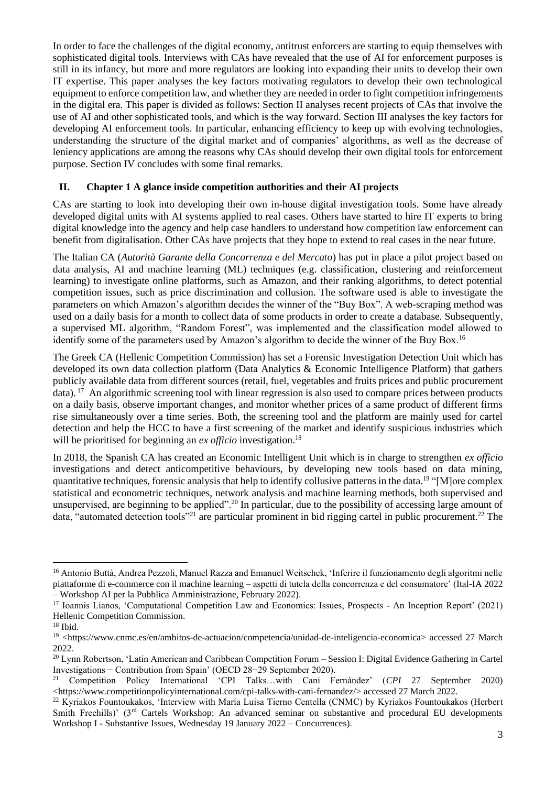In order to face the challenges of the digital economy, antitrust enforcers are starting to equip themselves with sophisticated digital tools. Interviews with CAs have revealed that the use of AI for enforcement purposes is still in its infancy, but more and more regulators are looking into expanding their units to develop their own IT expertise. This paper analyses the key factors motivating regulators to develop their own technological equipment to enforce competition law, and whether they are needed in order to fight competition infringements in the digital era. This paper is divided as follows: Section II analyses recent projects of CAs that involve the use of AI and other sophisticated tools, and which is the way forward. Section III analyses the key factors for developing AI enforcement tools. In particular, enhancing efficiency to keep up with evolving technologies, understanding the structure of the digital market and of companies' algorithms, as well as the decrease of leniency applications are among the reasons why CAs should develop their own digital tools for enforcement purpose. Section IV concludes with some final remarks.

### **II. Chapter 1 A glance inside competition authorities and their AI projects**

CAs are starting to look into developing their own in-house digital investigation tools. Some have already developed digital units with AI systems applied to real cases. Others have started to hire IT experts to bring digital knowledge into the agency and help case handlers to understand how competition law enforcement can benefit from digitalisation. Other CAs have projects that they hope to extend to real cases in the near future.

The Italian CA (*Autorità Garante della Concorrenza e del Mercato*) has put in place a pilot project based on data analysis, AI and machine learning (ML) techniques (e.g. classification, clustering and reinforcement learning) to investigate online platforms, such as Amazon, and their ranking algorithms, to detect potential competition issues, such as price discrimination and collusion. The software used is able to investigate the parameters on which Amazon's algorithm decides the winner of the "Buy Box". A web-scraping method was used on a daily basis for a month to collect data of some products in order to create a database. Subsequently, a supervised ML algorithm, "Random Forest", was implemented and the classification model allowed to identify some of the parameters used by Amazon's algorithm to decide the winner of the Buy Box.<sup>16</sup>

The Greek CA (Hellenic Competition Commission) has set a Forensic Investigation Detection Unit which has developed its own data collection platform (Data Analytics & Economic Intelligence Platform) that gathers publicly available data from different sources (retail, fuel, vegetables and fruits prices and public procurement data).<sup>17</sup> An algorithmic screening tool with linear regression is also used to compare prices between products on a daily basis, observe important changes, and monitor whether prices of a same product of different firms rise simultaneously over a time series. Both, the screening tool and the platform are mainly used for cartel detection and help the HCC to have a first screening of the market and identify suspicious industries which will be prioritised for beginning an *ex officio* investigation.<sup>18</sup>

In 2018, the Spanish CA has created an Economic Intelligent Unit which is in charge to strengthen *ex officio* investigations and detect anticompetitive behaviours, by developing new tools based on data mining, quantitative techniques, forensic analysis that help to identify collusive patterns in the data.<sup>19</sup> "[M]ore complex statistical and econometric techniques, network analysis and machine learning methods, both supervised and unsupervised, are beginning to be applied".<sup>20</sup> In particular, due to the possibility of accessing large amount of data, "automated detection tools"<sup>21</sup> are particular prominent in bid rigging cartel in public procurement.<sup>22</sup> The

<sup>16</sup> Antonio Buttà, Andrea Pezzoli, Manuel Razza and Emanuel Weitschek, 'Inferire il funzionamento degli algoritmi nelle piattaforme di e-commerce con il machine learning – aspetti di tutela della concorrenza e del consumatore' (Ital-IA 2022 – Workshop AI per la Pubblica Amministrazione, February 2022).

<sup>17</sup> Ioannis Lianos, 'Computational Competition Law and Economics: Issues, Prospects - An Inception Report' (2021) Hellenic Competition Commission.

<sup>18</sup> Ibid.

<sup>19</sup> <https://www.cnmc.es/en/ambitos-de-actuacion/competencia/unidad-de-inteligencia-economica> accessed 27 March 2022.

<sup>&</sup>lt;sup>20</sup> Lynn Robertson, 'Latin American and Caribbean Competition Forum – Session I: Digital Evidence Gathering in Cartel Investigations − Contribution from Spain' (OECD 28−29 September 2020).

<sup>21</sup> Competition Policy International 'CPI Talks…with Cani Fernández' (*CPI* 27 September 2020) [<https://www.competitionpolicyinternational.com/cpi-talks-with-cani-fernandez/>](https://www.competitionpolicyinternational.com/cpi-talks-with-cani-fernandez/) accessed 27 March 2022.

<sup>22</sup> Kyriakos Fountoukakos, 'Interview with María Luisa Tierno Centella (CNMC) by Kyriakos Fountoukakos (Herbert Smith Freehills)' (3<sup>rd</sup> Cartels Workshop: An advanced seminar on substantive and procedural EU developments Workshop I - Substantive Issues, Wednesday 19 January 2022 – Concurrences).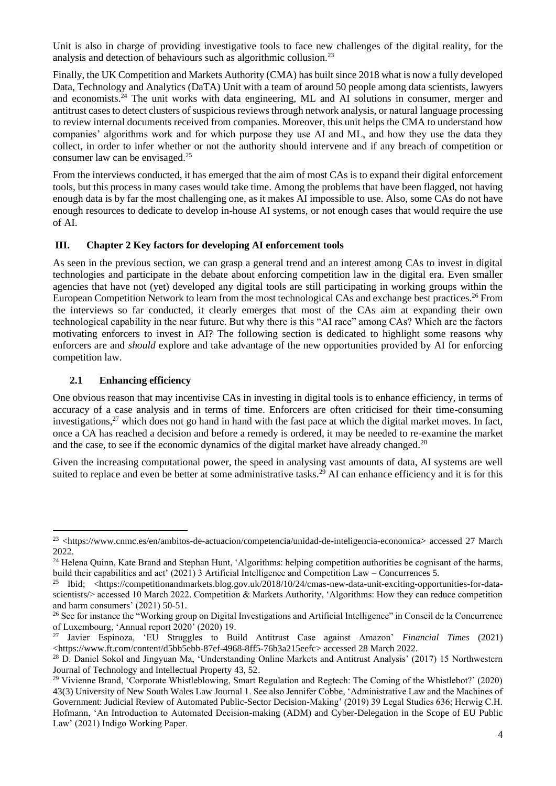Unit is also in charge of providing investigative tools to face new challenges of the digital reality, for the analysis and detection of behaviours such as algorithmic collusion.<sup>23</sup>

Finally, the UK Competition and Markets Authority (CMA) has built since 2018 what is now a fully developed Data, Technology and Analytics (DaTA) Unit with a team of around 50 people among data scientists, lawyers and economists.<sup>24</sup> The unit works with data engineering, ML and AI solutions in consumer, merger and antitrust cases to detect clusters of suspicious reviews through network analysis, or natural language processing to review internal documents received from companies. Moreover, this unit helps the CMA to understand how companies' algorithms work and for which purpose they use AI and ML, and how they use the data they collect, in order to infer whether or not the authority should intervene and if any breach of competition or consumer law can be envisaged.<sup>25</sup>

From the interviews conducted, it has emerged that the aim of most CAs is to expand their digital enforcement tools, but this process in many cases would take time. Among the problems that have been flagged, not having enough data is by far the most challenging one, as it makes AI impossible to use. Also, some CAs do not have enough resources to dedicate to develop in-house AI systems, or not enough cases that would require the use of AI.

### **III. Chapter 2 Key factors for developing AI enforcement tools**

As seen in the previous section, we can grasp a general trend and an interest among CAs to invest in digital technologies and participate in the debate about enforcing competition law in the digital era. Even smaller agencies that have not (yet) developed any digital tools are still participating in working groups within the European Competition Network to learn from the most technological CAs and exchange best practices.<sup>26</sup> From the interviews so far conducted, it clearly emerges that most of the CAs aim at expanding their own technological capability in the near future. But why there is this "AI race" among CAs? Which are the factors motivating enforcers to invest in AI? The following section is dedicated to highlight some reasons why enforcers are and *should* explore and take advantage of the new opportunities provided by AI for enforcing competition law.

### **2.1 Enhancing efficiency**

One obvious reason that may incentivise CAs in investing in digital tools is to enhance efficiency, in terms of accuracy of a case analysis and in terms of time. Enforcers are often criticised for their time-consuming investigations,<sup>27</sup> which does not go hand in hand with the fast pace at which the digital market moves. In fact, once a CA has reached a decision and before a remedy is ordered, it may be needed to re-examine the market and the case, to see if the economic dynamics of the digital market have already changed.<sup>28</sup>

Given the increasing computational power, the speed in analysing vast amounts of data, AI systems are well suited to replace and even be better at some administrative tasks.<sup>29</sup> AI can enhance efficiency and it is for this

<sup>23</sup> [<https://www.cnmc.es/en/ambitos-de-actuacion/competencia/unidad-de-inteligencia-economica>](https://www.cnmc.es/en/ambitos-de-actuacion/competencia/unidad-de-inteligencia-economica) accessed 27 March 2022.

<sup>&</sup>lt;sup>24</sup> Helena Quinn, Kate Brand and Stephan Hunt, 'Algorithms: helping competition authorities be cognisant of the harms, build their capabilities and act' (2021) 3 Artificial Intelligence and Competition Law – Concurrences 5.

Ibid; [<https://competitionandmarkets.blog.gov.uk/2018/10/24/cmas-new-data-unit-exciting-opportunities-for-data](https://competitionandmarkets.blog.gov.uk/2018/10/24/cmas-new-data-unit-exciting-opportunities-for-data-scientists/)[scientists/>](https://competitionandmarkets.blog.gov.uk/2018/10/24/cmas-new-data-unit-exciting-opportunities-for-data-scientists/) accessed 10 March 2022. Competition & Markets Authority, 'Algorithms: How they can reduce competition and harm consumers' (2021) 50-51.

<sup>&</sup>lt;sup>26</sup> See for instance the "Working group on Digital Investigations and Artificial Intelligence" in Conseil de la Concurrence of Luxembourg, 'Annual report 2020' (2020) 19.

<sup>27</sup> Javier Espinoza, 'EU Struggles to Build Antitrust Case against Amazon' *Financial Times* (2021) [<https://www.ft.com/content/d5bb5ebb-87ef-4968-8ff5-76b3a215eefc>](https://www.ft.com/content/d5bb5ebb-87ef-4968-8ff5-76b3a215eefc) accessed 28 March 2022.

<sup>&</sup>lt;sup>28</sup> D. Daniel Sokol and Jingyuan Ma, 'Understanding Online Markets and Antitrust Analysis' (2017) 15 Northwestern Journal of Technology and Intellectual Property 43, 52.

<sup>&</sup>lt;sup>29</sup> Vivienne Brand, 'Corporate Whistleblowing, Smart Regulation and Regtech: The Coming of the Whistlebot?' (2020) 43(3) University of New South Wales Law Journal 1. See also Jennifer Cobbe, 'Administrative Law and the Machines of Government: Judicial Review of Automated Public-Sector Decision-Making' (2019) 39 Legal Studies 636; Herwig C.H. Hofmann, 'An Introduction to Automated Decision-making (ADM) and Cyber-Delegation in the Scope of EU Public Law' (2021) Indigo Working Paper.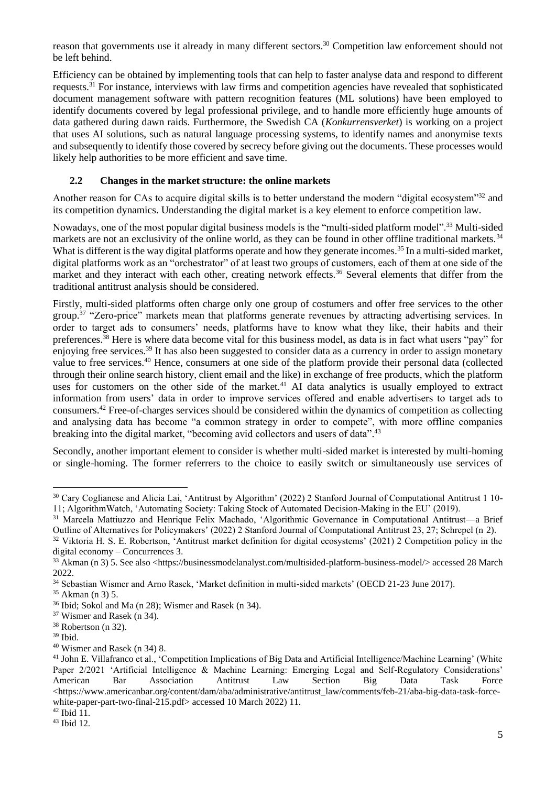reason that governments use it already in many different sectors.<sup>30</sup> Competition law enforcement should not be left behind.

Efficiency can be obtained by implementing tools that can help to faster analyse data and respond to different requests.<sup>31</sup> For instance, interviews with law firms and competition agencies have revealed that sophisticated document management software with pattern recognition features (ML solutions) have been employed to identify documents covered by legal professional privilege, and to handle more efficiently huge amounts of data gathered during dawn raids. Furthermore, the Swedish CA (*Konkurrensverket*) is working on a project that uses AI solutions, such as natural language processing systems, to identify names and anonymise texts and subsequently to identify those covered by secrecy before giving out the documents. These processes would likely help authorities to be more efficient and save time.

# **2.2 Changes in the market structure: the online markets**

Another reason for CAs to acquire digital skills is to better understand the modern "digital ecosystem"<sup>32</sup> and its competition dynamics. Understanding the digital market is a key element to enforce competition law.

Nowadays, one of the most popular digital business models is the "multi-sided platform model".<sup>33</sup> Multi-sided markets are not an exclusivity of the online world, as they can be found in other offline traditional markets.<sup>34</sup> What is different is the way digital platforms operate and how they generate incomes.<sup>35</sup> In a multi-sided market, digital platforms work as an "orchestrator" of at least two groups of customers, each of them at one side of the market and they interact with each other, creating network effects.<sup>36</sup> Several elements that differ from the traditional antitrust analysis should be considered.

Firstly, multi-sided platforms often charge only one group of costumers and offer free services to the other group.<sup>37</sup> "Zero-price" markets mean that platforms generate revenues by attracting advertising services. In order to target ads to consumers' needs, platforms have to know what they like, their habits and their preferences.<sup>38</sup> Here is where data become vital for this business model, as data is in fact what users "pay" for enjoying free services.<sup>39</sup> It has also been suggested to consider data as a currency in order to assign monetary value to free services.<sup>40</sup> Hence, consumers at one side of the platform provide their personal data (collected through their online search history, client email and the like) in exchange of free products, which the platform uses for customers on the other side of the market.<sup>41</sup> AI data analytics is usually employed to extract information from users' data in order to improve services offered and enable advertisers to target ads to consumers.<sup>42</sup> Free-of-charges services should be considered within the dynamics of competition as collecting and analysing data has become "a common strategy in order to compete", with more offline companies breaking into the digital market, "becoming avid collectors and users of data".<sup>43</sup>

Secondly, another important element to consider is whether multi-sided market is interested by multi-homing or single-homing. The former referrers to the choice to easily switch or simultaneously use services of

<sup>39</sup> Ibid.

<sup>30</sup> Cary Coglianese and Alicia Lai, 'Antitrust by Algorithm' (2022) 2 Stanford Journal of Computational Antitrust 1 10- 11; AlgorithmWatch, 'Automating Society: Taking Stock of Automated Decision-Making in the EU' (2019).

<sup>31</sup> Marcela Mattiuzzo and Henrique Felix Machado, 'Algorithmic Governance in Computational Antitrust—a Brief Outline of Alternatives for Policymakers' (2022) 2 Stanford Journal of Computational Antitrust 23, 27; Schrepel (n 2).

<sup>&</sup>lt;sup>32</sup> Viktoria H. S. E. Robertson, 'Antitrust market definition for digital ecosystems' (2021) 2 Competition policy in the digital economy – Concurrences 3.

<sup>33</sup> Akman (n 3) 5. See also [<https://businessmodelanalyst.com/multisided-platform-business-model/>](https://businessmodelanalyst.com/multisided-platform-business-model/) accessed 28 March 2022.

<sup>34</sup> Sebastian Wismer and Arno Rasek, 'Market definition in multi-sided markets' (OECD 21-23 June 2017).

<sup>35</sup> Akman (n 3) 5.

<sup>36</sup> Ibid; Sokol and Ma (n 28); Wismer and Rasek (n 34).

<sup>37</sup> Wismer and Rasek (n 34).

<sup>38</sup> Robertson (n 32).

<sup>40</sup> Wismer and Rasek (n 34) 8.

<sup>&</sup>lt;sup>41</sup> John E. Villafranco et al., 'Competition Implications of Big Data and Artificial Intelligence/Machine Learning' (White Paper 2/2021 'Artificial Intelligence & Machine Learning: Emerging Legal and Self-Regulatory Considerations'<br>American Bar Association Antitrust Law Section Big Data Task Force American Bar Association Antitrust Law Section Big Data Task Force  $\langle$ https://www.americanbar.org/content/dam/aba/administrative/antitrust\_law/comments/feb-21/aba-big-data-task-force[white-paper-part-two-final-215.pdf>](https://www.americanbar.org/content/dam/aba/administrative/antitrust_law/comments/feb-21/aba-big-data-task-force-white-paper-part-two-final-215.pdf) accessed 10 March 2022) 11.

 $42$  Ibid  $11$ .

<sup>43</sup> Ibid 12.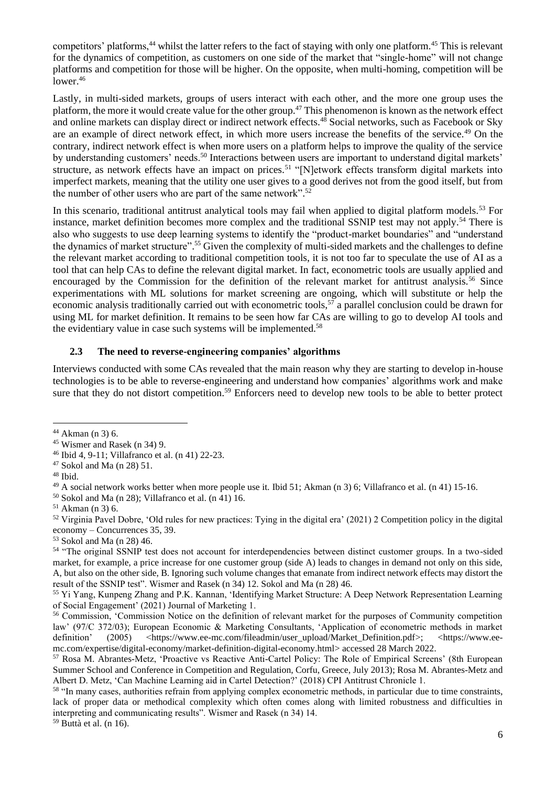competitors' platforms,<sup>44</sup> whilst the latter refers to the fact of staying with only one platform.<sup>45</sup> This is relevant for the dynamics of competition, as customers on one side of the market that "single-home" will not change platforms and competition for those will be higher. On the opposite, when multi-homing, competition will be lower.<sup>46</sup>

Lastly, in multi-sided markets, groups of users interact with each other, and the more one group uses the platform, the more it would create value for the other group.<sup>47</sup> This phenomenon is known as the network effect and online markets can display direct or indirect network effects.<sup>48</sup> Social networks, such as Facebook or Sky are an example of direct network effect, in which more users increase the benefits of the service.<sup>49</sup> On the contrary, indirect network effect is when more users on a platform helps to improve the quality of the service by understanding customers' needs.<sup>50</sup> Interactions between users are important to understand digital markets' structure, as network effects have an impact on prices.<sup>51</sup> "[N]etwork effects transform digital markets into imperfect markets, meaning that the utility one user gives to a good derives not from the good itself, but from the number of other users who are part of the same network".<sup>52</sup>

In this scenario, traditional antitrust analytical tools may fail when applied to digital platform models.<sup>53</sup> For instance, market definition becomes more complex and the traditional SSNIP test may not apply.<sup>54</sup> There is also who suggests to use deep learning systems to identify the "product-market boundaries" and "understand the dynamics of market structure".<sup>55</sup> Given the complexity of multi-sided markets and the challenges to define the relevant market according to traditional competition tools, it is not too far to speculate the use of AI as a tool that can help CAs to define the relevant digital market. In fact, econometric tools are usually applied and encouraged by the Commission for the definition of the relevant market for antitrust analysis.<sup>56</sup> Since experimentations with ML solutions for market screening are ongoing, which will substitute or help the economic analysis traditionally carried out with econometric tools,<sup>57</sup> a parallel conclusion could be drawn for using ML for market definition. It remains to be seen how far CAs are willing to go to develop AI tools and the evidentiary value in case such systems will be implemented.<sup>58</sup>

#### **2.3 The need to reverse-engineering companies' algorithms**

Interviews conducted with some CAs revealed that the main reason why they are starting to develop in-house technologies is to be able to reverse-engineering and understand how companies' algorithms work and make sure that they do not distort competition.<sup>59</sup> Enforcers need to develop new tools to be able to better protect

<sup>52</sup> Virginia Pavel Dobre, 'Old rules for new practices: Tying in the digital era' (2021) 2 Competition policy in the digital economy – Concurrences 35, 39.

<sup>53</sup> Sokol and Ma (n 28) 46.

 $59$  Buttà et al. (n 16).

<sup>44</sup> Akman (n 3) 6.

<sup>45</sup> Wismer and Rasek (n 34) 9.

<sup>46</sup> Ibid 4, 9-11; Villafranco et al. (n 41) 22-23.

<sup>47</sup> Sokol and Ma (n 28) 51.

<sup>48</sup> Ibid.

<sup>49</sup> A social network works better when more people use it. Ibid 51; Akman (n 3) 6; Villafranco et al. (n 41) 15-16.

 $50$  Sokol and Ma (n 28); Villafranco et al. (n 41) 16.

 $51$  Akman (n 3) 6.

<sup>54</sup> "The original SSNIP test does not account for interdependencies between distinct customer groups. In a two-sided market, for example, a price increase for one customer group (side A) leads to changes in demand not only on this side, A, but also on the other side, B. Ignoring such volume changes that emanate from indirect network effects may distort the result of the SSNIP test". Wismer and Rasek (n 34) 12. Sokol and Ma (n 28) 46.

<sup>55</sup> Yi Yang, Kunpeng Zhang and P.K. Kannan, 'Identifying Market Structure: A Deep Network Representation Learning of Social Engagement' (2021) Journal of Marketing 1.

<sup>56</sup> Commission, 'Commission Notice on the definition of relevant market for the purposes of Community competition law' (97/C 372/03); European Economic & Marketing Consultants, 'Application of econometric methods in market definition' (2005) [<https://www.ee-mc.com/fileadmin/user\\_upload/Market\\_Definition.pdf>](https://www.ee-mc.com/fileadmin/user_upload/Market_Definition.pdf); [<https://www.ee](https://www.ee-mc.com/expertise/digital-economy/market-definition-digital-economy.html)[mc.com/expertise/digital-economy/market-definition-digital-economy.html>](https://www.ee-mc.com/expertise/digital-economy/market-definition-digital-economy.html) accessed 28 March 2022.

<sup>57</sup> Rosa M. Abrantes-Metz, 'Proactive vs Reactive Anti-Cartel Policy: The Role of Empirical Screens' (8th European Summer School and Conference in Competition and Regulation, Corfu, Greece, July 2013); Rosa M. Abrantes-Metz and Albert D. Metz, 'Can Machine Learning aid in Cartel Detection?' (2018) CPI Antitrust Chronicle 1.

<sup>&</sup>lt;sup>58</sup> "In many cases, authorities refrain from applying complex econometric methods, in particular due to time constraints, lack of proper data or methodical complexity which often comes along with limited robustness and difficulties in interpreting and communicating results". Wismer and Rasek (n 34) 14.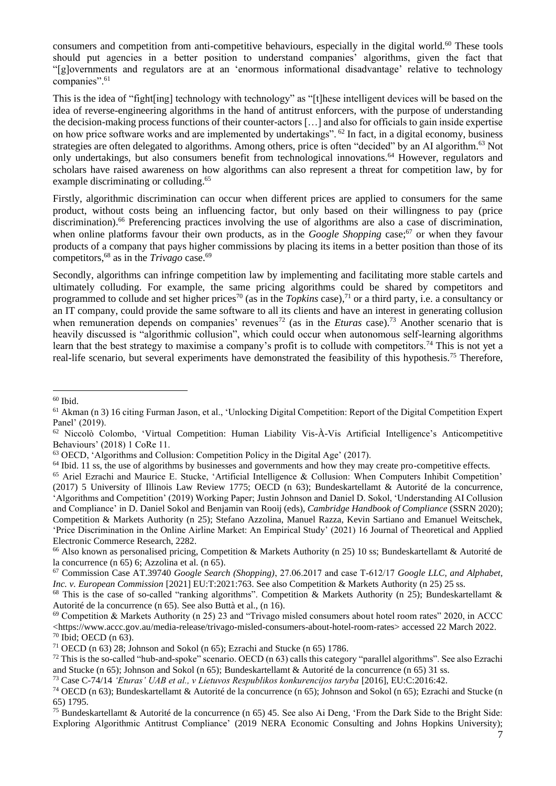consumers and competition from anti-competitive behaviours, especially in the digital world.<sup>60</sup> These tools should put agencies in a better position to understand companies' algorithms, given the fact that "[g]overnments and regulators are at an 'enormous informational disadvantage' relative to technology companies".<sup>61</sup>

This is the idea of "fight[ing] technology with technology" as "[t]hese intelligent devices will be based on the idea of reverse-engineering algorithms in the hand of antitrust enforcers, with the purpose of understanding the decision-making process functions of their counter-actors […] and also for officials to gain inside expertise on how price software works and are implemented by undertakings". <sup>62</sup> In fact, in a digital economy, business strategies are often delegated to algorithms. Among others, price is often "decided" by an AI algorithm.<sup>63</sup> Not only undertakings, but also consumers benefit from technological innovations.<sup>64</sup> However, regulators and scholars have raised awareness on how algorithms can also represent a threat for competition law, by for example discriminating or colluding. 65

Firstly, algorithmic discrimination can occur when different prices are applied to consumers for the same product, without costs being an influencing factor, but only based on their willingness to pay (price discrimination).<sup>66</sup> Preferencing practices involving the use of algorithms are also a case of discrimination, when online platforms favour their own products, as in the *Google Shopping* case;<sup>67</sup> or when they favour products of a company that pays higher commissions by placing its items in a better position than those of its competitors,<sup>68</sup> as in the *Trivago* case.<sup>69</sup>

Secondly, algorithms can infringe competition law by implementing and facilitating more stable cartels and ultimately colluding. For example, the same pricing algorithms could be shared by competitors and programmed to collude and set higher prices<sup>70</sup> (as in the *Topkins* case),<sup>71</sup> or a third party, i.e. a consultancy or an IT company, could provide the same software to all its clients and have an interest in generating collusion when remuneration depends on companies' revenues<sup>72</sup> (as in the *Eturas* case).<sup>73</sup> Another scenario that is heavily discussed is "algorithmic collusion", which could occur when autonomous self-learning algorithms learn that the best strategy to maximise a company's profit is to collude with competitors.<sup>74</sup> This is not yet a real-life scenario, but several experiments have demonstrated the feasibility of this hypothesis.<sup>75</sup> Therefore,

 $60$  Ibid.

<sup>61</sup> Akman (n 3) 16 citing Furman Jason, et al., 'Unlocking Digital Competition: Report of the Digital Competition Expert Panel' (2019).

<sup>62</sup> Niccolò Colombo, 'Virtual Competition: Human Liability Vis-À-Vis Artificial Intelligence's Anticompetitive Behaviours' (2018) 1 CoRe 11.

<sup>63</sup> OECD, 'Algorithms and Collusion: Competition Policy in the Digital Age' (2017).

 $64$  Ibid. 11 ss, the use of algorithms by businesses and governments and how they may create pro-competitive effects.

<sup>65</sup> Ariel Ezrachi and Maurice E. Stucke, 'Artificial Intelligence & Collusion: When Computers Inhibit Competition' (2017) 5 University of Illinois Law Review 1775; OECD (n 63); Bundeskartellamt & Autorité de la concurrence, 'Algorithms and Competition' (2019) Working Paper; Justin Johnson and Daniel D. Sokol, 'Understanding AI Collusion and Compliance' in D. Daniel Sokol and Benjamin van Rooij (eds), *Cambridge Handbook of Compliance* (SSRN 2020); Competition & Markets Authority (n 25); Stefano Azzolina, Manuel Razza, Kevin Sartiano and Emanuel Weitschek, 'Price Discrimination in the Online Airline Market: An Empirical Study' (2021) 16 Journal of Theoretical and Applied Electronic Commerce Research, 2282.

<sup>&</sup>lt;sup>66</sup> Also known as personalised pricing, Competition & Markets Authority (n 25) 10 ss; Bundeskartellamt & Autorité de la concurrence (n 65) 6; Azzolina et al. (n 65).

<sup>67</sup> Commission Case AT.39740 *Google Search (Shopping)*, 27.06.2017 and case T‑612/17 *Google LLC, and Alphabet, Inc. v. European Commission* [2021] EU:T:2021:763. See also Competition & Markets Authority (n 25) 25 ss.

<sup>&</sup>lt;sup>68</sup> This is the case of so-called "ranking algorithms". Competition & Markets Authority (n 25); Bundeskartellamt & Autorité de la concurrence (n 65). See also Buttà et al., (n 16).

 $69$  Competition & Markets Authority (n 25) 23 and "Trivago misled consumers about hotel room rates" 2020, in ACCC [<https://www.accc.gov.au/media-release/trivago-misled-consumers-about-hotel-room-rates>](https://www.accc.gov.au/media-release/trivago-misled-consumers-about-hotel-room-rates) accessed 22 March 2022.  $70$  Ibid; OECD (n 63).

<sup>&</sup>lt;sup>71</sup> OECD (n 63) 28; Johnson and Sokol (n 65); Ezrachi and Stucke (n 65) 1786.

 $72$  This is the so-called "hub-and-spoke" scenario. OECD (n 63) calls this category "parallel algorithms". See also Ezrachi and Stucke (n 65); Johnson and Sokol (n 65); Bundeskartellamt & Autorité de la concurrence (n 65) 31 ss.

<sup>73</sup> Case C-74/14 *'Eturas' UAB et al., v Lietuvos Respublikos konkurencijos taryba* [2016], EU:C:2016:42.

<sup>74</sup> OECD (n 63); Bundeskartellamt & Autorité de la concurrence (n 65); Johnson and Sokol (n 65); Ezrachi and Stucke (n 65) 1795.

<sup>&</sup>lt;sup>75</sup> Bundeskartellamt & Autorité de la concurrence (n 65) 45. See also Ai Deng, 'From the Dark Side to the Bright Side: Exploring Algorithmic Antitrust Compliance' (2019 NERA Economic Consulting and Johns Hopkins University);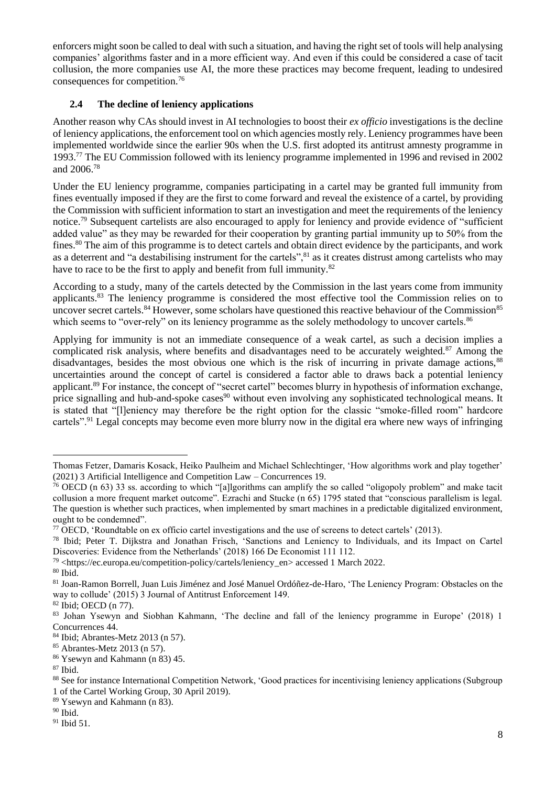enforcers might soon be called to deal with such a situation, and having the right set of tools will help analysing companies' algorithms faster and in a more efficient way. And even if this could be considered a case of tacit collusion, the more companies use AI, the more these practices may become frequent, leading to undesired consequences for competition.<sup>76</sup>

# **2.4 The decline of leniency applications**

Another reason why CAs should invest in AI technologies to boost their *ex officio* investigations is the decline of leniency applications, the enforcement tool on which agencies mostly rely. Leniency programmes have been implemented worldwide since the earlier 90s when the U.S. first adopted its antitrust amnesty programme in 1993.<sup>77</sup> The EU Commission followed with its leniency programme implemented in 1996 and revised in 2002 and 2006.<sup>78</sup>

Under the EU leniency programme, companies participating in a cartel may be granted full immunity from fines eventually imposed if they are the first to come forward and reveal the existence of a cartel, by providing the Commission with sufficient information to start an investigation and meet the requirements of the leniency notice.<sup>79</sup> Subsequent cartelists are also encouraged to apply for leniency and provide evidence of "sufficient added value" as they may be rewarded for their cooperation by granting partial immunity up to 50% from the fines.<sup>80</sup> The aim of this programme is to detect cartels and obtain direct evidence by the participants, and work as a deterrent and "a destabilising instrument for the cartels",<sup>81</sup> as it creates distrust among cartelists who may have to race to be the first to apply and benefit from full immunity.<sup>82</sup>

According to a study, many of the cartels detected by the Commission in the last years come from immunity applicants.<sup>83</sup> The leniency programme is considered the most effective tool the Commission relies on to uncover secret cartels.<sup>84</sup> However, some scholars have questioned this reactive behaviour of the Commission<sup>85</sup> which seems to "over-rely" on its leniency programme as the solely methodology to uncover cartels.<sup>86</sup>

Applying for immunity is not an immediate consequence of a weak cartel, as such a decision implies a complicated risk analysis, where benefits and disadvantages need to be accurately weighted.<sup>87</sup> Among the disadvantages, besides the most obvious one which is the risk of incurring in private damage actions,<sup>88</sup> uncertainties around the concept of cartel is considered a factor able to draws back a potential leniency applicant.<sup>89</sup> For instance, the concept of "secret cartel" becomes blurry in hypothesis of information exchange, price signalling and hub-and-spoke cases<sup>90</sup> without even involving any sophisticated technological means. It is stated that "[l]eniency may therefore be the right option for the classic "smoke-filled room" hardcore cartels".<sup>91</sup> Legal concepts may become even more blurry now in the digital era where new ways of infringing

Thomas Fetzer, Damaris Kosack, Heiko Paulheim and Michael Schlechtinger, 'How algorithms work and play together' (2021) 3 Artificial Intelligence and Competition Law – Concurrences 19.

<sup>76</sup> OECD (n 63) 33 ss. according to which "[a]lgorithms can amplify the so called "oligopoly problem" and make tacit collusion a more frequent market outcome". Ezrachi and Stucke (n 65) 1795 stated that "conscious parallelism is legal. The question is whether such practices, when implemented by smart machines in a predictable digitalized environment, ought to be condemned".

 $77$  OECD, 'Roundtable on ex officio cartel investigations and the use of screens to detect cartels' (2013).

<sup>78</sup> Ibid; Peter T. Dijkstra and Jonathan Frisch, 'Sanctions and Leniency to Individuals, and its Impact on Cartel Discoveries: Evidence from the Netherlands' (2018) 166 De Economist 111 112.

<sup>79</sup> [<https://ec.europa.eu/competition-policy/cartels/leniency\\_en>](https://ec.europa.eu/competition-policy/cartels/leniency_en) accessed 1 March 2022.

 $80$  Ibid.

<sup>81</sup> Joan-Ramon Borrell, Juan Luis Jiménez and José Manuel Ordóñez-de-Haro, 'The Leniency Program: Obstacles on the way to collude' (2015) 3 Journal of Antitrust Enforcement 149.

<sup>82</sup> Ibid; OECD (n 77).

<sup>83</sup> Johan Ysewyn and Siobhan Kahmann, 'The decline and fall of the leniency programme in Europe' (2018) 1 Concurrences 44.

<sup>84</sup> Ibid; Abrantes-Metz 2013 (n 57).

<sup>85</sup> Abrantes-Metz 2013 (n 57).

<sup>86</sup> Ysewyn and Kahmann (n 83) 45.

<sup>87</sup> Ibid.

<sup>88</sup> See for instance International Competition Network, 'Good practices for incentivising leniency applications (Subgroup 1 of the Cartel Working Group, 30 April 2019).

<sup>89</sup> Ysewyn and Kahmann (n 83).

 $90$  Ibid.

<sup>&</sup>lt;sup>91</sup> Ibid 51.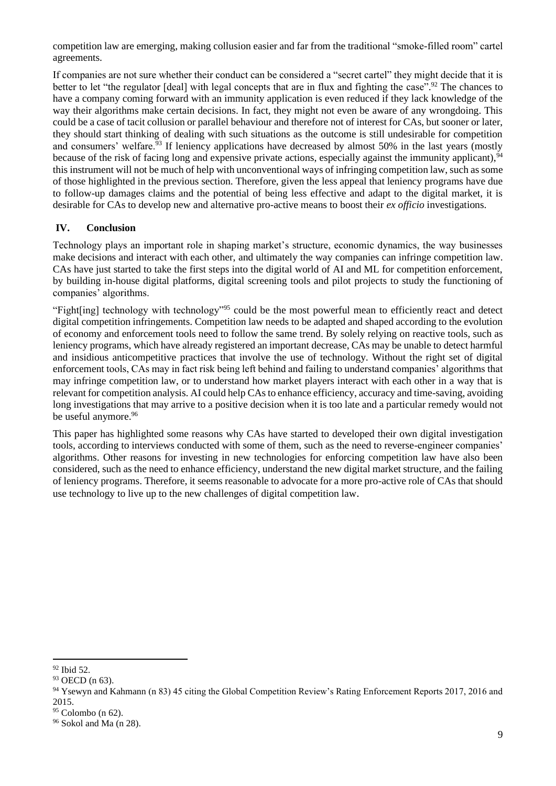competition law are emerging, making collusion easier and far from the traditional "smoke-filled room" cartel agreements.

If companies are not sure whether their conduct can be considered a "secret cartel" they might decide that it is better to let "the regulator [deal] with legal concepts that are in flux and fighting the case".<sup>92</sup> The chances to have a company coming forward with an immunity application is even reduced if they lack knowledge of the way their algorithms make certain decisions. In fact, they might not even be aware of any wrongdoing. This could be a case of tacit collusion or parallel behaviour and therefore not of interest for CAs, but sooner or later, they should start thinking of dealing with such situations as the outcome is still undesirable for competition and consumers' welfare.<sup>93</sup> If leniency applications have decreased by almost 50% in the last years (mostly because of the risk of facing long and expensive private actions, especially against the immunity applicant),  $94$ this instrument will not be much of help with unconventional ways of infringing competition law, such as some of those highlighted in the previous section. Therefore, given the less appeal that leniency programs have due to follow-up damages claims and the potential of being less effective and adapt to the digital market, it is desirable for CAs to develop new and alternative pro-active means to boost their *ex officio* investigations.

# **IV. Conclusion**

Technology plays an important role in shaping market's structure, economic dynamics, the way businesses make decisions and interact with each other, and ultimately the way companies can infringe competition law. CAs have just started to take the first steps into the digital world of AI and ML for competition enforcement, by building in-house digital platforms, digital screening tools and pilot projects to study the functioning of companies' algorithms.

"Fight[ing] technology with technology"<sup>95</sup> could be the most powerful mean to efficiently react and detect digital competition infringements. Competition law needs to be adapted and shaped according to the evolution of economy and enforcement tools need to follow the same trend. By solely relying on reactive tools, such as leniency programs, which have already registered an important decrease, CAs may be unable to detect harmful and insidious anticompetitive practices that involve the use of technology. Without the right set of digital enforcement tools, CAs may in fact risk being left behind and failing to understand companies' algorithms that may infringe competition law, or to understand how market players interact with each other in a way that is relevant for competition analysis. AI could help CAs to enhance efficiency, accuracy and time-saving, avoiding long investigations that may arrive to a positive decision when it is too late and a particular remedy would not be useful anymore.<sup>96</sup>

This paper has highlighted some reasons why CAs have started to developed their own digital investigation tools, according to interviews conducted with some of them, such as the need to reverse-engineer companies' algorithms. Other reasons for investing in new technologies for enforcing competition law have also been considered, such as the need to enhance efficiency, understand the new digital market structure, and the failing of leniency programs. Therefore, it seems reasonable to advocate for a more pro-active role of CAs that should use technology to live up to the new challenges of digital competition law.

<sup>92</sup> Ibid 52.

<sup>&</sup>lt;sup>93</sup> OECD (n 63).

<sup>&</sup>lt;sup>94</sup> Ysewyn and Kahmann (n 83) 45 citing the Global Competition Review's Rating Enforcement Reports 2017, 2016 and 2015.

 $95$  Colombo (n 62).

<sup>96</sup> Sokol and Ma (n 28).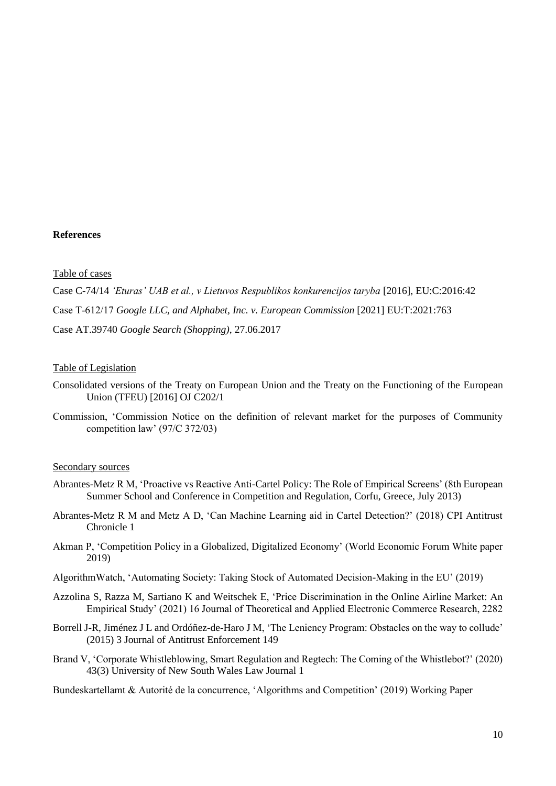#### **References**

#### Table of cases

Case C-74/14 *'Eturas' UAB et al., v Lietuvos Respublikos konkurencijos taryba* [2016], EU:C:2016:42 Case T‑612/17 *Google LLC, and Alphabet, Inc. v. European Commission* [2021] EU:T:2021:763 Case AT.39740 *Google Search (Shopping)*, 27.06.2017

#### Table of Legislation

- Consolidated versions of the Treaty on European Union and the Treaty on the Functioning of the European Union (TFEU) [2016] OJ C202/1
- Commission, 'Commission Notice on the definition of relevant market for the purposes of Community competition law' (97/C 372/03)

#### Secondary sources

- Abrantes-Metz R M, 'Proactive vs Reactive Anti-Cartel Policy: The Role of Empirical Screens' (8th European Summer School and Conference in Competition and Regulation, Corfu, Greece, July 2013)
- Abrantes-Metz R M and Metz A D, 'Can Machine Learning aid in Cartel Detection?' (2018) CPI Antitrust Chronicle 1
- Akman P, 'Competition Policy in a Globalized, Digitalized Economy' (World Economic Forum White paper 2019)
- AlgorithmWatch, 'Automating Society: Taking Stock of Automated Decision-Making in the EU' (2019)
- Azzolina S, Razza M, Sartiano K and Weitschek E, 'Price Discrimination in the Online Airline Market: An Empirical Study' (2021) 16 Journal of Theoretical and Applied Electronic Commerce Research, 2282
- Borrell J-R, Jiménez J L and Ordóñez-de-Haro J M, 'The Leniency Program: Obstacles on the way to collude' (2015) 3 Journal of Antitrust Enforcement 149
- Brand V, 'Corporate Whistleblowing, Smart Regulation and Regtech: The Coming of the Whistlebot?' (2020) 43(3) University of New South Wales Law Journal 1

Bundeskartellamt & Autorité de la concurrence, 'Algorithms and Competition' (2019) Working Paper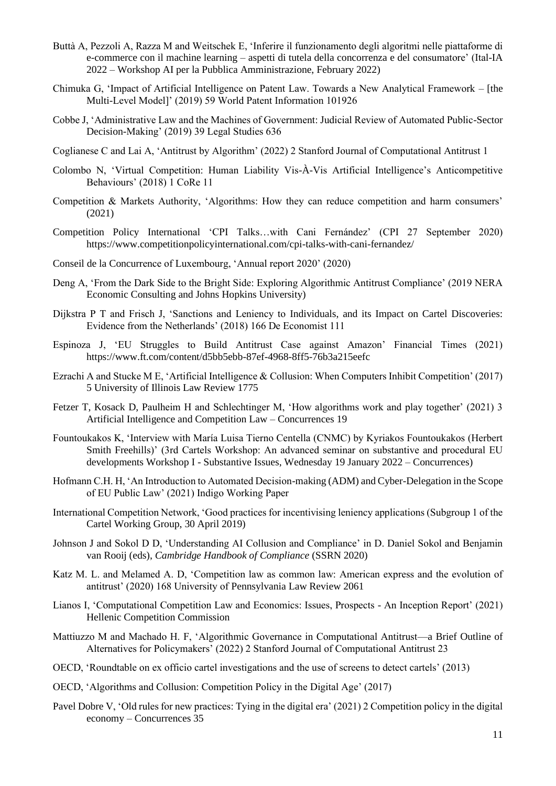- Buttà A, Pezzoli A, Razza M and Weitschek E, 'Inferire il funzionamento degli algoritmi nelle piattaforme di e-commerce con il machine learning – aspetti di tutela della concorrenza e del consumatore' (Ital-IA 2022 – Workshop AI per la Pubblica Amministrazione, February 2022)
- Chimuka G, 'Impact of Artificial Intelligence on Patent Law. Towards a New Analytical Framework [the Multi-Level Model]' (2019) 59 World Patent Information 101926
- Cobbe J, 'Administrative Law and the Machines of Government: Judicial Review of Automated Public-Sector Decision-Making' (2019) 39 Legal Studies 636
- Coglianese C and Lai A, 'Antitrust by Algorithm' (2022) 2 Stanford Journal of Computational Antitrust 1
- Colombo N, 'Virtual Competition: Human Liability Vis-À-Vis Artificial Intelligence's Anticompetitive Behaviours' (2018) 1 CoRe 11
- Competition & Markets Authority, 'Algorithms: How they can reduce competition and harm consumers' (2021)
- Competition Policy International 'CPI Talks…with Cani Fernández' (CPI 27 September 2020) <https://www.competitionpolicyinternational.com/cpi-talks-with-cani-fernandez/>
- Conseil de la Concurrence of Luxembourg, 'Annual report 2020' (2020)
- Deng A, 'From the Dark Side to the Bright Side: Exploring Algorithmic Antitrust Compliance' (2019 NERA Economic Consulting and Johns Hopkins University)
- Dijkstra P T and Frisch J, 'Sanctions and Leniency to Individuals, and its Impact on Cartel Discoveries: Evidence from the Netherlands' (2018) 166 De Economist 111
- Espinoza J, 'EU Struggles to Build Antitrust Case against Amazon' Financial Times (2021) <https://www.ft.com/content/d5bb5ebb-87ef-4968-8ff5-76b3a215eefc>
- Ezrachi A and Stucke M E, 'Artificial Intelligence & Collusion: When Computers Inhibit Competition' (2017) 5 University of Illinois Law Review 1775
- Fetzer T, Kosack D, Paulheim H and Schlechtinger M, 'How algorithms work and play together' (2021) 3 Artificial Intelligence and Competition Law – Concurrences 19
- Fountoukakos K, 'Interview with María Luisa Tierno Centella (CNMC) by Kyriakos Fountoukakos (Herbert Smith Freehills)' (3rd Cartels Workshop: An advanced seminar on substantive and procedural EU developments Workshop I - Substantive Issues, Wednesday 19 January 2022 – Concurrences)
- Hofmann C.H. H, 'An Introduction to Automated Decision-making (ADM) and Cyber-Delegation in the Scope of EU Public Law' (2021) Indigo Working Paper
- International Competition Network, 'Good practices for incentivising leniency applications (Subgroup 1 of the Cartel Working Group, 30 April 2019)
- Johnson J and Sokol D D, 'Understanding AI Collusion and Compliance' in D. Daniel Sokol and Benjamin van Rooij (eds), *Cambridge Handbook of Compliance* (SSRN 2020)
- Katz M. L. and Melamed A. D, 'Competition law as common law: American express and the evolution of antitrust' (2020) 168 University of Pennsylvania Law Review 2061
- Lianos I, 'Computational Competition Law and Economics: Issues, Prospects An Inception Report' (2021) Hellenic Competition Commission
- Mattiuzzo M and Machado H. F, 'Algorithmic Governance in Computational Antitrust—a Brief Outline of Alternatives for Policymakers' (2022) 2 Stanford Journal of Computational Antitrust 23
- OECD, 'Roundtable on ex officio cartel investigations and the use of screens to detect cartels' (2013)
- OECD, 'Algorithms and Collusion: Competition Policy in the Digital Age' (2017)
- Pavel Dobre V, 'Old rules for new practices: Tying in the digital era' (2021) 2 Competition policy in the digital economy – Concurrences 35